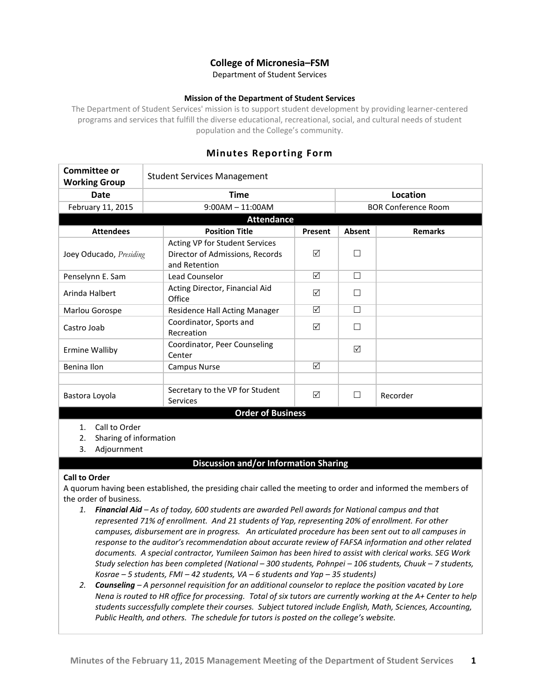### **College of Micronesia–FSM**

Department of Student Services

#### **Mission of the Department of Student Services**

The Department of Student Services' mission is to support student development by providing learner-centered programs and services that fulfill the diverse educational, recreational, social, and cultural needs of student population and the College's community.

| Committee or<br><b>Working Group</b> | <b>Student Services Management</b>                                                 |         |        |                            |  |
|--------------------------------------|------------------------------------------------------------------------------------|---------|--------|----------------------------|--|
| Date                                 | <b>Time</b>                                                                        |         |        | Location                   |  |
| February 11, 2015                    | $9:00AM - 11:00AM$                                                                 |         |        | <b>BOR Conference Room</b> |  |
| <b>Attendance</b>                    |                                                                                    |         |        |                            |  |
| <b>Attendees</b>                     | <b>Position Title</b>                                                              | Present | Absent | <b>Remarks</b>             |  |
| Joey Oducado, Presiding              | Acting VP for Student Services<br>Director of Admissions, Records<br>and Retention | ☑       |        |                            |  |
| Penselynn E. Sam                     | Lead Counselor                                                                     | ☑       | $\Box$ |                            |  |
| Arinda Halbert                       | Acting Director, Financial Aid<br>Office                                           | ☑       | $\Box$ |                            |  |
| Marlou Gorospe                       | Residence Hall Acting Manager                                                      | ☑       | $\Box$ |                            |  |
| Castro Joab                          | Coordinator, Sports and<br>Recreation                                              | ☑       |        |                            |  |
| <b>Ermine Walliby</b>                | Coordinator, Peer Counseling<br>Center                                             |         | ☑      |                            |  |
| Benina Ilon                          | <b>Campus Nurse</b>                                                                | ☑       |        |                            |  |
|                                      |                                                                                    |         |        |                            |  |
| Bastora Loyola                       | Secretary to the VP for Student<br><b>Services</b>                                 | ☑       | $\Box$ | Recorder                   |  |
| <b>Order of Business</b>             |                                                                                    |         |        |                            |  |

## **Minutes Reporting Form**

- 1. Call to Order
- 2. Sharing of information
- 3. Adjournment

#### **Discussion and/or Information Sharing**

#### **Call to Order**

A quorum having been established, the presiding chair called the meeting to order and informed the members of the order of business.

- *1. Financial Aid – As of today, 600 students are awarded Pell awards for National campus and that represented 71% of enrollment. And 21 students of Yap, representing 20% of enrollment. For other campuses, disbursement are in progress. An articulated procedure has been sent out to all campuses in response to the auditor's recommendation about accurate review of FAFSA information and other related documents. A special contractor, Yumileen Saimon has been hired to assist with clerical works. SEG Work Study selection has been completed (National – 300 students, Pohnpei – 106 students, Chuuk – 7 students, Kosrae – 5 students, FMI – 42 students, VA – 6 students and Yap – 35 students)*
- *2. Counseling – A personnel requisition for an additional counselor to replace the position vacated by Lore Nena is routed to HR office for processing. Total of six tutors are currently working at the A+ Center to help students successfully complete their courses. Subject tutored include English, Math, Sciences, Accounting, Public Health, and others. The schedule for tutors is posted on the college's website.*